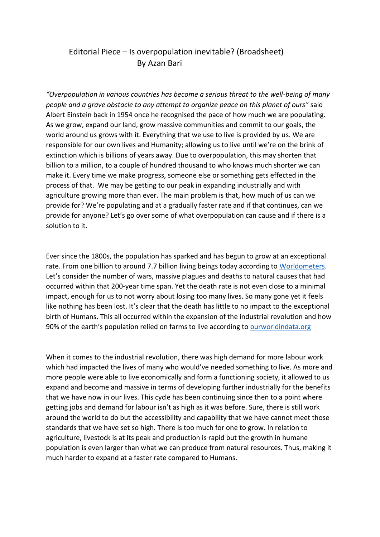## Editorial Piece – Is overpopulation inevitable? (Broadsheet) By Azan Bari

*"Overpopulation in various countries has become a serious threat to the well-being of many people and a grave obstacle to any attempt to organize peace on this planet of ours"* said Albert Einstein back in 1954 once he recognised the pace of how much we are populating. As we grow, expand our land, grow massive communities and commit to our goals, the world around us grows with it. Everything that we use to live is provided by us. We are responsible for our own lives and Humanity; allowing us to live until we're on the brink of extinction which is billions of years away. Due to overpopulation, this may shorten that billion to a million, to a couple of hundred thousand to who knows much shorter we can make it. Every time we make progress, someone else or something gets effected in the process of that. We may be getting to our peak in expanding industrially and with agriculture growing more than ever. The main problem is that, how much of us can we provide for? We're populating and at a gradually faster rate and if that continues, can we provide for anyone? Let's go over some of what overpopulation can cause and if there is a solution to it.

Ever since the 1800s, the population has sparked and has begun to grow at an exceptional rate. From one billion to around 7.7 billion living beings today according to [Worldometers.](https://www.worldometers.info/world-population/) Let's consider the number of wars, massive plagues and deaths to natural causes that had occurred within that 200-year time span. Yet the death rate is not even close to a minimal impact, enough for us to not worry about losing too many lives. So many gone yet it feels like nothing has been lost. It's clear that the death has little to no impact to the exceptional birth of Humans. This all occurred within the expansion of the industrial revolution and how 90% of the earth's population relied on farms to live according to [ourworldindata.org](https://ourworldindata.org/agricultural-land-by-global-diets#:~:text=Land%20requirements%20by%20national%20diets,total%20habitable%20land%20for%20agriculture.)

When it comes to the industrial revolution, there was high demand for more labour work which had impacted the lives of many who would've needed something to live. As more and more people were able to live economically and form a functioning society, it allowed to us expand and become and massive in terms of developing further industrially for the benefits that we have now in our lives. This cycle has been continuing since then to a point where getting jobs and demand for labour isn't as high as it was before. Sure, there is still work around the world to do but the accessibility and capability that we have cannot meet those standards that we have set so high. There is too much for one to grow. In relation to agriculture, livestock is at its peak and production is rapid but the growth in humane population is even larger than what we can produce from natural resources. Thus, making it much harder to expand at a faster rate compared to Humans.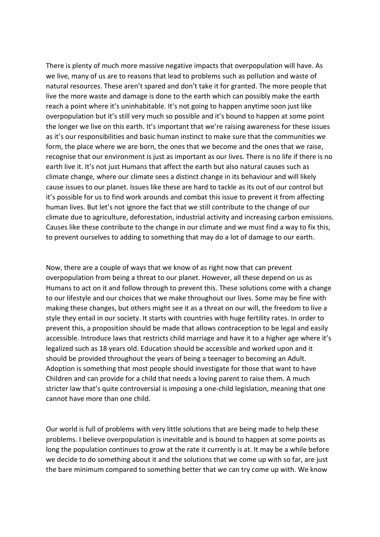There is plenty of much more massive negative impacts that overpopulation will have. As we live, many of us are to reasons that lead to problems such as pollution and waste of natural resources. These aren't spared and don't take it for granted. The more people that live the more waste and damage is done to the earth which can possibly make the earth reach a point where it's uninhabitable. It's not going to happen anytime soon just like overpopulation but it's still very much so possible and it's bound to happen at some point the longer we live on this earth. It's important that we're raising awareness for these issues as it's our responsibilities and basic human instinct to make sure that the communities we form, the place where we are born, the ones that we become and the ones that we raise, recognise that our environment is just as important as our lives. There is no life if there is no earth live it. It's not just Humans that affect the earth but also natural causes such as climate change, where our climate sees a distinct change in its behaviour and will likely cause issues to our planet. Issues like these are hard to tackle as its out of our control but it's possible for us to find work arounds and combat this issue to prevent it from affecting human lives. But let's not ignore the fact that we still contribute to the change of our climate due to agriculture, deforestation, industrial activity and increasing carbon emissions. Causes like these contribute to the change in our climate and we must find a way to fix this, to prevent ourselves to adding to something that may do a lot of damage to our earth.

Now, there are a couple of ways that we know of as right now that can prevent overpopulation from being a threat to our planet. However, all these depend on us as Humans to act on it and follow through to prevent this. These solutions come with a change to our lifestyle and our choices that we make throughout our lives. Some may be fine with making these changes, but others might see it as a threat on our will, the freedom to live a style they entail in our society. It starts with countries with huge fertility rates. In order to prevent this, a proposition should be made that allows contraception to be legal and easily accessible. Introduce laws that restricts child marriage and have it to a higher age where it's legalized such as 18 years old. Education should be accessible and worked upon and it should be provided throughout the years of being a teenager to becoming an Adult. Adoption is something that most people should investigate for those that want to have Children and can provide for a child that needs a loving parent to raise them. A much stricter law that's quite controversial is imposing a one-child legislation, meaning that one cannot have more than one child.

Our world is full of problems with very little solutions that are being made to help these problems. I believe overpopulation is inevitable and is bound to happen at some points as long the population continues to grow at the rate it currently is at. It may be a while before we decide to do something about it and the solutions that we come up with so far, are just the bare minimum compared to something better that we can try come up with. We know